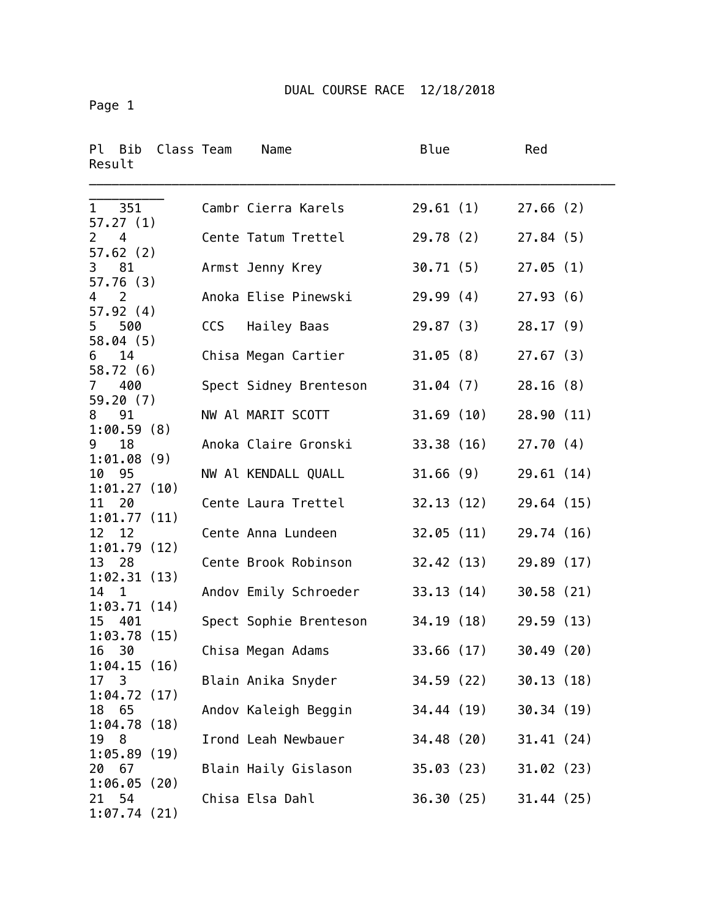Page 1

| Ρl<br>Class Team<br>Bib<br>Result   |     | Name                   | Blue       | Red        |
|-------------------------------------|-----|------------------------|------------|------------|
| 351<br>1<br>57.27(1)                |     | Cambr Cierra Karels    | 29.61(1)   | 27.66(2)   |
| $\overline{2}$<br>4<br>57.62(2)     |     | Cente Tatum Trettel    | 29.78(2)   | 27.84(5)   |
| 3<br>81<br>57.76(3)                 |     | Armst Jenny Krey       | 30.71(5)   | 27.05(1)   |
| $\overline{2}$<br>4                 |     | Anoka Elise Pinewski   | 29.99(4)   | 27.93(6)   |
| 57.92(4)<br>5<br>500                | CCS | Hailey Baas            | 29.87(3)   | 28.17(9)   |
| 58.04(5)<br>14<br>6                 |     | Chisa Megan Cartier    | 31.05(8)   | 27.67(3)   |
| 58.72(6)<br>400<br>$\mathcal{I}$    |     | Spect Sidney Brenteson | 31.04 (7)  | 28.16(8)   |
| 59.20(7)<br>91<br>8                 |     | NW Al MARIT SCOTT      | 31.69(10)  | 28.90 (11) |
| 1:00.59(8)<br>18<br>9               |     | Anoka Claire Gronski   | 33.38 (16) | 27.70(4)   |
| 1:01.08(9)<br>10 95                 |     | NW Al KENDALL QUALL    | 31.66(9)   | 29.61(14)  |
| 1:01.27(10)<br>20<br>11             |     | Cente Laura Trettel    | 32.13(12)  | 29.64 (15) |
| 1:01.77(11)<br>12<br>12             |     | Cente Anna Lundeen     | 32.05(11)  | 29.74 (16) |
| 1:01.79(12)<br>13 28                |     | Cente Brook Robinson   | 32.42(13)  | 29.89 (17) |
| 1:02.31(13)<br>14<br>$\overline{1}$ |     | Andov Emily Schroeder  | 33.13(14)  | 30.58(21)  |
| 1:03.71(14)<br>401<br>15            |     | Spect Sophie Brenteson | 34.19 (18) | 29.59 (13) |
| 1:03.78(15)                         |     |                        |            |            |
| 16<br>- 30<br>1:04.15(16)           |     | Chisa Megan Adams      | 33.66(17)  | 30.49(20)  |
| 17 <sup>3</sup><br>1:04.72(17)      |     | Blain Anika Snyder     | 34.59 (22) | 30.13(18)  |
| 18<br>65<br>1:04.78(18)             |     | Andov Kaleigh Beggin   | 34.44 (19) | 30.34 (19) |
| 8<br>19<br>1:05.89(19)              |     | Irond Leah Newbauer    | 34.48(20)  | 31.41(24)  |
| 67<br>20<br>1:06.05(20)             |     | Blain Haily Gislason   | 35.03 (23) | 31.02(23)  |
| 54<br>21<br>1:07.74(21)             |     | Chisa Elsa Dahl        | 36.30(25)  | 31.44(25)  |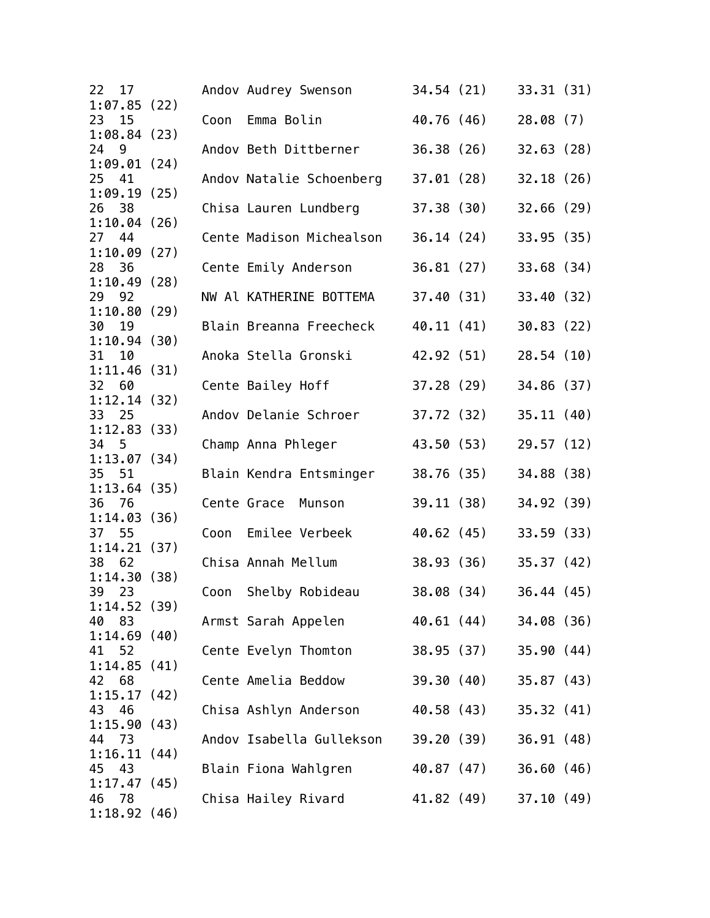| 22    | 17   |             |      | Andov Audrey Swenson     | 34.54(21)  | 33.31(31)  |  |
|-------|------|-------------|------|--------------------------|------------|------------|--|
|       |      | 1:07.85(22) | Coon | Emma Bolin               | 40.76 (46) |            |  |
| 23    | 15   | 1:08.84(23) |      |                          |            | 28.08(7)   |  |
| 24 9  |      |             |      | Andov Beth Dittberner    | 36.38(26)  | 32.63(28)  |  |
|       |      | 1:09.01(24) |      |                          |            |            |  |
| 25 41 |      |             |      | Andov Natalie Schoenberg | 37.01 (28) | 32.18(26)  |  |
|       |      | 1:09.19(25) |      |                          |            |            |  |
| 26    | - 38 |             |      | Chisa Lauren Lundberg    | 37.38 (30) | 32.66(29)  |  |
| 27    | 44   | 1:10.04(26) |      | Cente Madison Michealson | 36.14(24)  | 33.95(35)  |  |
|       |      | 1:10.09(27) |      |                          |            |            |  |
| 28 36 |      |             |      | Cente Emily Anderson     | 36.81(27)  | 33.68(34)  |  |
|       |      | 1:10.49(28) |      |                          |            |            |  |
| 29 92 |      |             |      | NW Al KATHERINE BOTTEMA  | 37.40(31)  | 33.40(32)  |  |
|       |      | 1:10.80(29) |      |                          |            |            |  |
| 30    | 19   | 1:10.94(30) |      | Blain Breanna Freecheck  | 40.11 (41) | 30.83(22)  |  |
| 31    | 10   |             |      | Anoka Stella Gronski     | 42.92 (51) | 28.54(10)  |  |
|       |      | 1:11.46(31) |      |                          |            |            |  |
| 32 60 |      |             |      | Cente Bailey Hoff        | 37.28 (29) | 34.86 (37) |  |
|       |      | 1:12.14(32) |      |                          |            |            |  |
| 33 25 |      |             |      | Andov Delanie Schroer    | 37.72 (32) | 35.11(40)  |  |
|       |      | 1:12.83(33) |      |                          |            |            |  |
| 34 5  |      | 1:13.07(34) |      | Champ Anna Phleger       | 43.50 (53) | 29.57 (12) |  |
| 35    | - 51 |             |      | Blain Kendra Entsminger  | 38.76 (35) | 34.88 (38) |  |
|       |      | 1:13.64(35) |      |                          |            |            |  |
| 36 76 |      |             |      | Cente Grace<br>Munson    | 39.11 (38) | 34.92(39)  |  |
|       |      | 1:14.03(36) |      |                          |            |            |  |
| 37 55 |      |             | Coon | Emilee Verbeek           | 40.62 (45) | 33.59(33)  |  |
| 38    | 62   | 1:14.21(37) |      | Chisa Annah Mellum       | 38.93(36)  |            |  |
|       |      | 1:14.30(38) |      |                          |            | 35.37(42)  |  |
| 39    | 23   |             | Coon | Shelby Robideau          | 38.08 (34) | 36.44(45)  |  |
|       |      | 1:14.52(39) |      |                          |            |            |  |
| 40    | 83   |             |      | Armst Sarah Appelen      | 40.61 (44) | 34.08 (36) |  |
|       |      | 1:14.69(40) |      |                          |            |            |  |
| 41 52 |      |             |      | Cente Evelyn Thomton     | 38.95 (37) | 35.90(44)  |  |
| 42    | 68   | 1:14.85(41) |      | Cente Amelia Beddow      | 39.30 (40) | 35.87(43)  |  |
|       |      | 1:15.17(42) |      |                          |            |            |  |
| 43    | 46   |             |      | Chisa Ashlyn Anderson    | 40.58 (43) | 35.32(41)  |  |
|       |      | 1:15.90(43) |      |                          |            |            |  |
| 44    | -73  |             |      | Andov Isabella Gullekson | 39.20 (39) | 36.91(48)  |  |
|       |      | 1:16.11(44) |      |                          |            |            |  |
| 45 43 |      |             |      | Blain Fiona Wahlgren     | 40.87 (47) | 36.60(46)  |  |
| 46 78 |      | 1:17.47(45) |      | Chisa Hailey Rivard      | 41.82 (49) | 37.10(49)  |  |
|       |      | 1:18.92(46) |      |                          |            |            |  |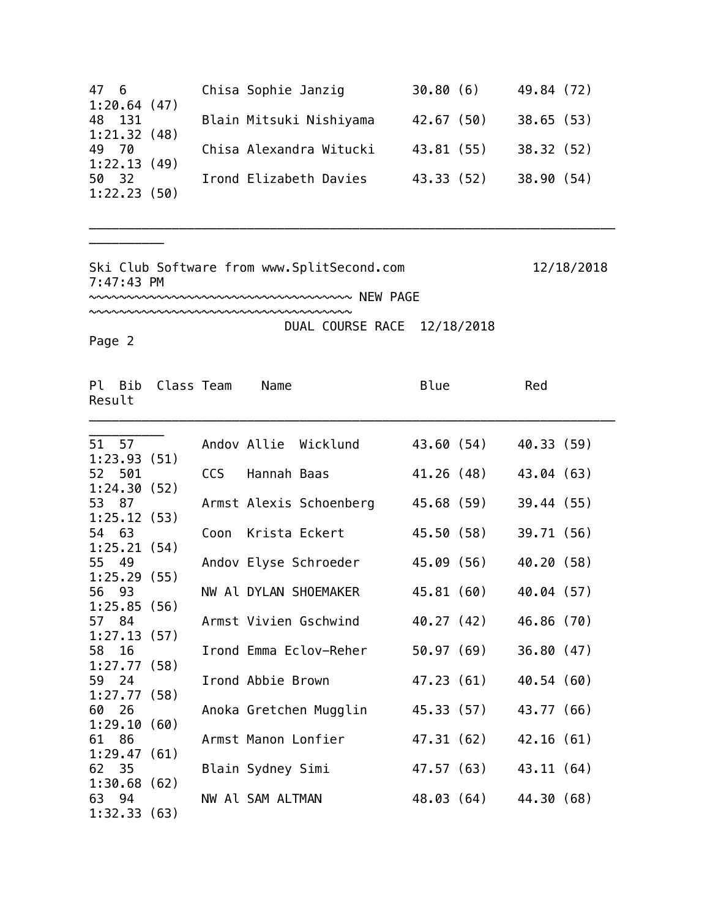| Chisa Sophie Janzig     | 30.80(6)   | 49.84 (72) |
|-------------------------|------------|------------|
|                         |            |            |
| Blain Mitsuki Nishiyama | 42.67(50)  | 38.65(53)  |
|                         |            |            |
| Chisa Alexandra Witucki | 43.81 (55) | 38.32(52)  |
|                         |            |            |
| Irond Elizabeth Davies  | 43.33 (52) | 38.90(54)  |
|                         |            |            |
|                         |            |            |

\_\_\_\_\_\_\_\_\_\_\_\_\_\_\_\_\_\_\_\_\_\_\_\_\_\_\_\_\_\_\_\_\_\_\_\_\_\_\_\_\_\_\_\_\_\_\_\_\_\_\_\_\_\_\_\_\_\_\_\_\_\_\_\_\_\_\_\_\_\_

Ski Club Software from www.SplitSecond.com 12/18/2018 7:47:43 PM

~~~~~~~~~~~~~~~~~~~~~~~~~~~~~~~~~~~ NEW PAGE

~~~~~~~~~~~~~~~~~~~~~~~~~~~~~~~~~~~

DUAL COURSE RACE 12/18/2018

Page 2

\_\_\_\_\_\_\_\_\_\_

| Result | Pl Bib | Class Team  |            | Name                    | Blue       | Red        |
|--------|--------|-------------|------------|-------------------------|------------|------------|
|        | 51 57  |             |            | Andov Allie Wicklund    | 43.60 (54) | 40.33 (59) |
|        |        | 1:23.93(51) |            |                         |            |            |
|        | 52 501 |             | <b>CCS</b> | Hannah Baas             | 41.26 (48) | 43.04 (63) |
|        |        | 1:24.30(52) |            |                         |            |            |
| 53 87  |        |             |            | Armst Alexis Schoenberg | 45.68 (59) | 39.44 (55) |
|        |        | 1:25.12(53) |            |                         |            |            |
| 54 63  |        |             | Coon       | Krista Eckert           | 45.50 (58) | 39.71 (56) |
|        |        | 1:25.21(54) |            |                         |            |            |
| 55 49  |        |             |            | Andov Elyse Schroeder   | 45.09 (56) | 40.20 (58) |
| 56 93  |        | 1:25.29(55) |            | NW Al DYLAN SHOEMAKER   | 45.81 (60) | 40.04 (57) |
|        |        | 1:25.85(56) |            |                         |            |            |
| 57 84  |        |             |            | Armst Vivien Gschwind   | 40.27 (42) | 46.86 (70) |
|        |        | 1:27.13(57) |            |                         |            |            |
| 58 16  |        |             |            | Irond Emma Eclov-Reher  | 50.97(69)  | 36.80(47)  |
|        |        | 1:27.77(58) |            |                         |            |            |
| 59     | 24     |             |            | Irond Abbie Brown       | 47.23 (61) | 40.54 (60) |
|        |        | 1:27.77(58) |            |                         |            |            |
| 60     | 26     |             |            | Anoka Gretchen Mugglin  | 45.33 (57) | 43.77 (66) |
|        |        | 1:29.10(60) |            |                         |            |            |
| 61 86  |        |             |            | Armst Manon Lonfier     | 47.31 (62) | 42.16(61)  |
|        |        | 1:29.47(61) |            |                         |            |            |
| 62 35  |        |             |            | Blain Sydney Simi       | 47.57 (63) | 43.11 (64) |
|        |        | 1:30.68(62) |            |                         |            |            |
| 63 94  |        |             |            | NW Al SAM ALTMAN        | 48.03 (64) | 44.30 (68) |
|        |        | 1:32.33(63) |            |                         |            |            |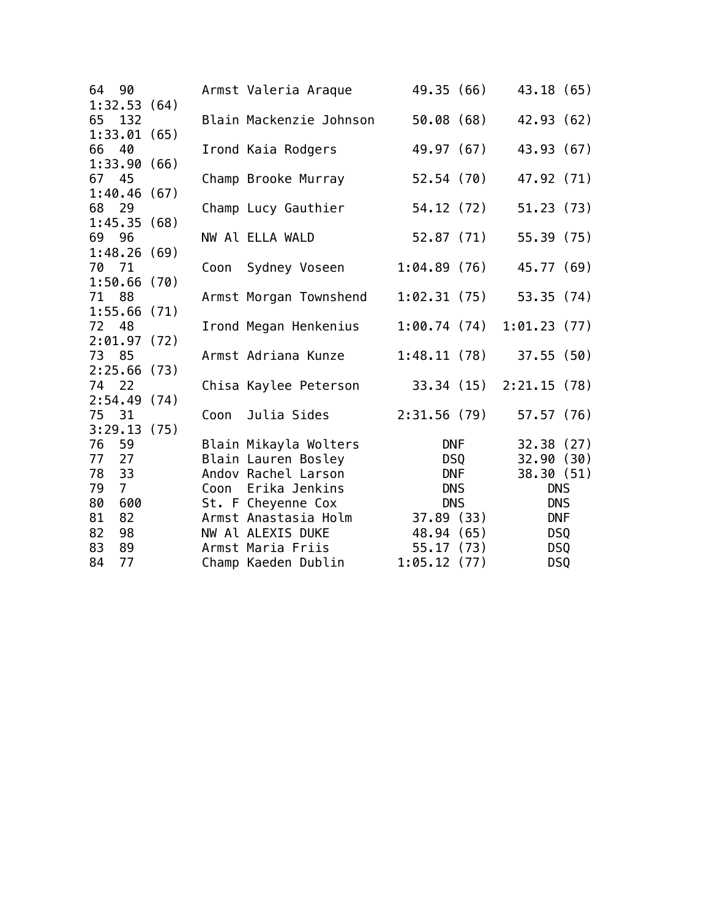| 64                   | 90             |      | Armst Valeria Araque    |             | 49.35 (66)                                                                                                                                                                                                                     | 43.18 (65)             |  |
|----------------------|----------------|------|-------------------------|-------------|--------------------------------------------------------------------------------------------------------------------------------------------------------------------------------------------------------------------------------|------------------------|--|
| 1:32.53(64)          |                |      |                         |             |                                                                                                                                                                                                                                |                        |  |
| 65 132               |                |      | Blain Mackenzie Johnson |             | 50.08 (68)                                                                                                                                                                                                                     | 42.93 (62)             |  |
| 1:33.01(65)          |                |      |                         |             |                                                                                                                                                                                                                                |                        |  |
| 66                   | 40             |      | Irond Kaia Rodgers      | 49.97 (67)  |                                                                                                                                                                                                                                | 43.93 (67)             |  |
| 1:33.90(66)          |                |      |                         |             |                                                                                                                                                                                                                                |                        |  |
| 67 45                |                |      | Champ Brooke Murray     |             | 52.54 (70)                                                                                                                                                                                                                     | 47.92 (71)             |  |
| 1:40.46(67)          |                |      |                         |             |                                                                                                                                                                                                                                |                        |  |
| 68 29                |                |      | Champ Lucy Gauthier     |             | 54.12 (72)                                                                                                                                                                                                                     | 51.23(73)              |  |
| 1:45.35(68)          |                |      |                         |             |                                                                                                                                                                                                                                |                        |  |
| 69 96                |                |      | NW Al ELLA WALD         | 52.87(71)   |                                                                                                                                                                                                                                | 55.39(75)              |  |
| 1:48.26(69)          |                |      |                         |             |                                                                                                                                                                                                                                | 45.77 (69)             |  |
| 70 71<br>1:50.66(70) |                | Coon | Sydney Voseen           | 1:04.89(76) |                                                                                                                                                                                                                                |                        |  |
| 71 88                |                |      |                         |             |                                                                                                                                                                                                                                | 53.35 (74)             |  |
| 1:55.66(71)          |                |      | Armst Morgan Townshend  | 1:02.31(75) |                                                                                                                                                                                                                                |                        |  |
| 72 48                |                |      | Irond Megan Henkenius   |             |                                                                                                                                                                                                                                | 1:00.74(74)1:01.23(77) |  |
| 2:01.97(72)          |                |      |                         |             |                                                                                                                                                                                                                                |                        |  |
| 73 85                |                |      | Armst Adriana Kunze     | 1:48.11(78) |                                                                                                                                                                                                                                | 37.55(50)              |  |
| 2:25.66(73)          |                |      |                         |             |                                                                                                                                                                                                                                |                        |  |
| 74                   | 22             |      | Chisa Kaylee Peterson   | 33.34(15)   |                                                                                                                                                                                                                                | 2:21.15(78)            |  |
| 2:54.49(74)          |                |      |                         |             |                                                                                                                                                                                                                                |                        |  |
| 75 31                |                | Coon | Julia Sides             | 2:31.56(79) |                                                                                                                                                                                                                                | 57.57 (76)             |  |
| 3:29.13(75)          |                |      |                         |             |                                                                                                                                                                                                                                |                        |  |
| 76                   | 59             |      | Blain Mikayla Wolters   |             | DNF                                                                                                                                                                                                                            | 32.38(27)              |  |
| 77                   | 27             |      | Blain Lauren Bosley     |             | DSQ and the set of the set of the set of the set of the set of the set of the set of the set of the set of the set of the set of the set of the set of the set of the set of the set of the set of the set of the set of the s | 32.90(30)              |  |
| 78                   | 33             |      | Andov Rachel Larson     |             | <b>DNF</b>                                                                                                                                                                                                                     | 38.30 (51)             |  |
| 79                   | $\overline{7}$ | Coon | Erika Jenkins           | <b>DNS</b>  |                                                                                                                                                                                                                                | <b>DNS</b>             |  |
| 80                   | 600            |      | St. F Cheyenne Cox      | <b>DNS</b>  |                                                                                                                                                                                                                                | <b>DNS</b>             |  |
| 81                   | 82             |      | Armst Anastasia Holm    | 37.89(33)   |                                                                                                                                                                                                                                | <b>DNF</b>             |  |
| 82                   | 98             |      | NW Al ALEXIS DUKE       | 48.94 (65)  |                                                                                                                                                                                                                                | <b>DSQ</b>             |  |
| 83                   | 89             |      | Armst Maria Friis       | 55.17(73)   |                                                                                                                                                                                                                                | DSQ                    |  |
| 84                   | 77             |      | Champ Kaeden Dublin     | 1:05.12(77) |                                                                                                                                                                                                                                | DSQ                    |  |